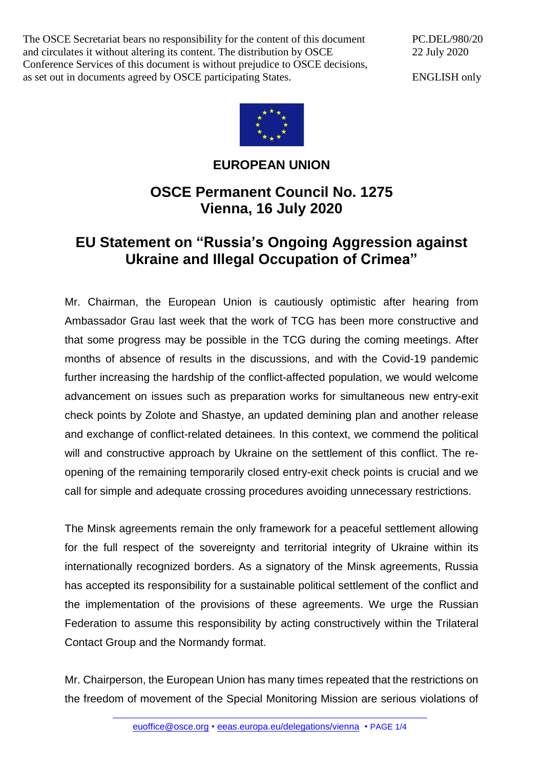The OSCE Secretariat bears no responsibility for the content of this document and circulates it without altering its content. The distribution by OSCE Conference Services of this document is without prejudice to OSCE decisions, as set out in documents agreed by OSCE participating States.

PC.DEL/980/20 22 July 2020

ENGLISH only



## **EUROPEAN UNION**

## **OSCE Permanent Council No. 1275 Vienna, 16 July 2020**

## **EU Statement on "Russia's Ongoing Aggression against Ukraine and Illegal Occupation of Crimea"**

Mr. Chairman, the European Union is cautiously optimistic after hearing from Ambassador Grau last week that the work of TCG has been more constructive and that some progress may be possible in the TCG during the coming meetings. After months of absence of results in the discussions, and with the Covid-19 pandemic further increasing the hardship of the conflict-affected population, we would welcome advancement on issues such as preparation works for simultaneous new entry-exit check points by Zolote and Shastye, an updated demining plan and another release and exchange of conflict-related detainees. In this context, we commend the political will and constructive approach by Ukraine on the settlement of this conflict. The reopening of the remaining temporarily closed entry-exit check points is crucial and we call for simple and adequate crossing procedures avoiding unnecessary restrictions.

The Minsk agreements remain the only framework for a peaceful settlement allowing for the full respect of the sovereignty and territorial integrity of Ukraine within its internationally recognized borders. As a signatory of the Minsk agreements, Russia has accepted its responsibility for a sustainable political settlement of the conflict and the implementation of the provisions of these agreements. We urge the Russian Federation to assume this responsibility by acting constructively within the Trilateral Contact Group and the Normandy format.

Mr. Chairperson, the European Union has many times repeated that the restrictions on the freedom of movement of the Special Monitoring Mission are serious violations of

[euoffice@osce.org](mailto:euoffice@osce.org) • [eeas.europa.eu/delegations/vienna](http://eeas.europa.eu/delegations/vienna) • PAGE 1/4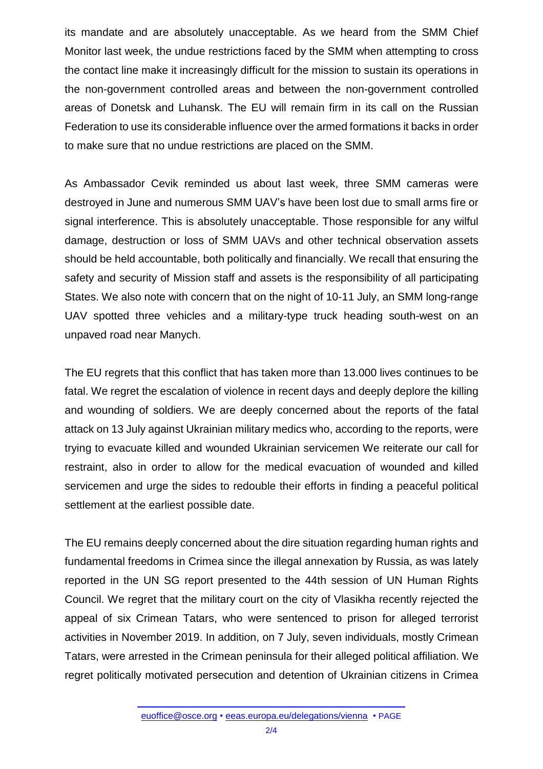its mandate and are absolutely unacceptable. As we heard from the SMM Chief Monitor last week, the undue restrictions faced by the SMM when attempting to cross the contact line make it increasingly difficult for the mission to sustain its operations in the non-government controlled areas and between the non-government controlled areas of Donetsk and Luhansk. The EU will remain firm in its call on the Russian Federation to use its considerable influence over the armed formations it backs in order to make sure that no undue restrictions are placed on the SMM.

As Ambassador Cevik reminded us about last week, three SMM cameras were destroyed in June and numerous SMM UAV's have been lost due to small arms fire or signal interference. This is absolutely unacceptable. Those responsible for any wilful damage, destruction or loss of SMM UAVs and other technical observation assets should be held accountable, both politically and financially. We recall that ensuring the safety and security of Mission staff and assets is the responsibility of all participating States. We also note with concern that on the night of 10-11 July, an SMM long-range UAV spotted three vehicles and a military-type truck heading south-west on an unpaved road near Manych.

The EU regrets that this conflict that has taken more than 13.000 lives continues to be fatal. We regret the escalation of violence in recent days and deeply deplore the killing and wounding of soldiers. We are deeply concerned about the reports of the fatal attack on 13 July against Ukrainian military medics who, according to the reports, were trying to evacuate killed and wounded Ukrainian servicemen We reiterate our call for restraint, also in order to allow for the medical evacuation of wounded and killed servicemen and urge the sides to redouble their efforts in finding a peaceful political settlement at the earliest possible date.

The EU remains deeply concerned about the dire situation regarding human rights and fundamental freedoms in Crimea since the illegal annexation by Russia, as was lately reported in the UN SG report presented to the 44th session of UN Human Rights Council. We regret that the military court on the city of Vlasikha recently rejected the appeal of six Crimean Tatars, who were sentenced to prison for alleged terrorist activities in November 2019. In addition, on 7 July, seven individuals, mostly Crimean Tatars, were arrested in the Crimean peninsula for their alleged political affiliation. We regret politically motivated persecution and detention of Ukrainian citizens in Crimea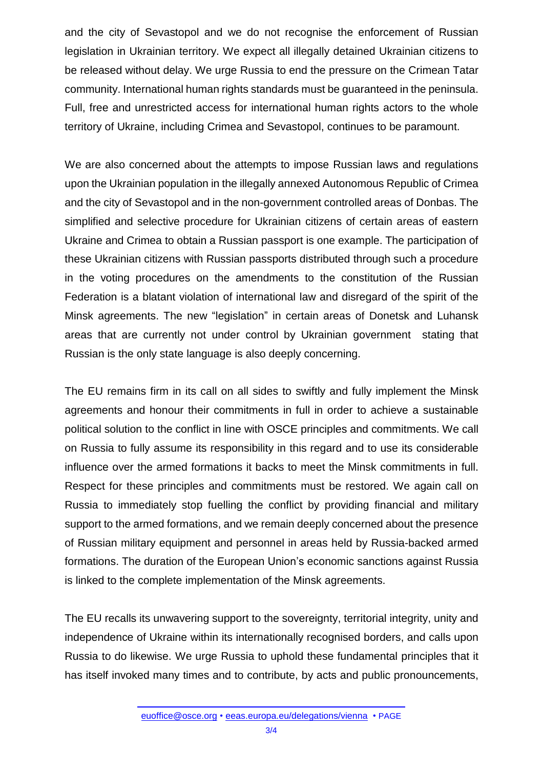and the city of Sevastopol and we do not recognise the enforcement of Russian legislation in Ukrainian territory. We expect all illegally detained Ukrainian citizens to be released without delay. We urge Russia to end the pressure on the Crimean Tatar community. International human rights standards must be guaranteed in the peninsula. Full, free and unrestricted access for international human rights actors to the whole territory of Ukraine, including Crimea and Sevastopol, continues to be paramount.

We are also concerned about the attempts to impose Russian laws and regulations upon the Ukrainian population in the illegally annexed Autonomous Republic of Crimea and the city of Sevastopol and in the non-government controlled areas of Donbas. The simplified and selective procedure for Ukrainian citizens of certain areas of eastern Ukraine and Crimea to obtain a Russian passport is one example. The participation of these Ukrainian citizens with Russian passports distributed through such a procedure in the voting procedures on the amendments to the constitution of the Russian Federation is a blatant violation of international law and disregard of the spirit of the Minsk agreements. The new "legislation" in certain areas of Donetsk and Luhansk areas that are currently not under control by Ukrainian government stating that Russian is the only state language is also deeply concerning.

The EU remains firm in its call on all sides to swiftly and fully implement the Minsk agreements and honour their commitments in full in order to achieve a sustainable political solution to the conflict in line with OSCE principles and commitments. We call on Russia to fully assume its responsibility in this regard and to use its considerable influence over the armed formations it backs to meet the Minsk commitments in full. Respect for these principles and commitments must be restored. We again call on Russia to immediately stop fuelling the conflict by providing financial and military support to the armed formations, and we remain deeply concerned about the presence of Russian military equipment and personnel in areas held by Russia-backed armed formations. The duration of the European Union's economic sanctions against Russia is linked to the complete implementation of the Minsk agreements.

The EU recalls its unwavering support to the sovereignty, territorial integrity, unity and independence of Ukraine within its internationally recognised borders, and calls upon Russia to do likewise. We urge Russia to uphold these fundamental principles that it has itself invoked many times and to contribute, by acts and public pronouncements,